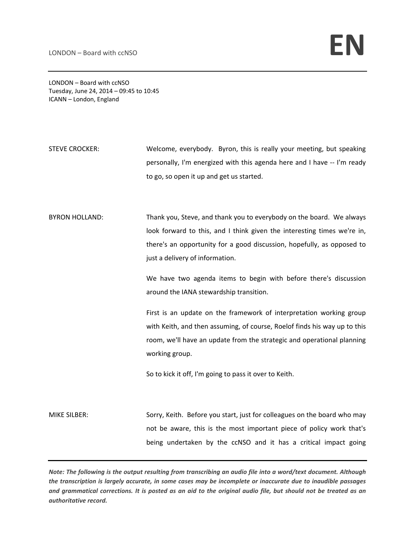LONDON – Board with ccNSO Tuesday, June 24, 2014 – 09:45 to 10:45 ICANN – London, England

STEVE CROCKER: Welcome, everybody. Byron, this is really your meeting, but speaking personally, I'm energized with this agenda here and I have ‐‐ I'm ready to go, so open it up and get us started.

BYRON HOLLAND: Thank you, Steve, and thank you to everybody on the board. We always look forward to this, and I think given the interesting times we're in, there's an opportunity for a good discussion, hopefully, as opposed to just a delivery of information.

> We have two agenda items to begin with before there's discussion around the IANA stewardship transition.

> First is an update on the framework of interpretation working group with Keith, and then assuming, of course, Roelof finds his way up to this room, we'll have an update from the strategic and operational planning working group.

So to kick it off, I'm going to pass it over to Keith.

MIKE SILBER: Sorry, Keith. Before you start, just for colleagues on the board who may not be aware, this is the most important piece of policy work that's being undertaken by the ccNSO and it has a critical impact going

Note: The following is the output resulting from transcribing an audio file into a word/text document. Although the transcription is largely accurate, in some cases may be incomplete or inaccurate due to inaudible passages and grammatical corrections. It is posted as an aid to the original audio file, but should not be treated as an *authoritative record.*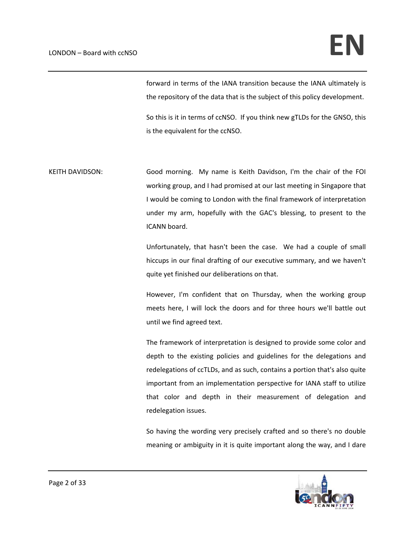forward in terms of the IANA transition because the IANA ultimately is the repository of the data that is the subject of this policy development.

So this is it in terms of ccNSO. If you think new gTLDs for the GNSO, this is the equivalent for the ccNSO.

KEITH DAVIDSON: Good morning. My name is Keith Davidson, I'm the chair of the FOI working group, and I had promised at our last meeting in Singapore that I would be coming to London with the final framework of interpretation under my arm, hopefully with the GAC's blessing, to present to the ICANN board.

> Unfortunately, that hasn't been the case. We had a couple of small hiccups in our final drafting of our executive summary, and we haven't quite yet finished our deliberations on that.

> However, I'm confident that on Thursday, when the working group meets here, I will lock the doors and for three hours we'll battle out until we find agreed text.

> The framework of interpretation is designed to provide some color and depth to the existing policies and guidelines for the delegations and redelegations of ccTLDs, and as such, contains a portion that's also quite important from an implementation perspective for IANA staff to utilize that color and depth in their measurement of delegation and redelegation issues.

> So having the wording very precisely crafted and so there's no double meaning or ambiguity in it is quite important along the way, and I dare

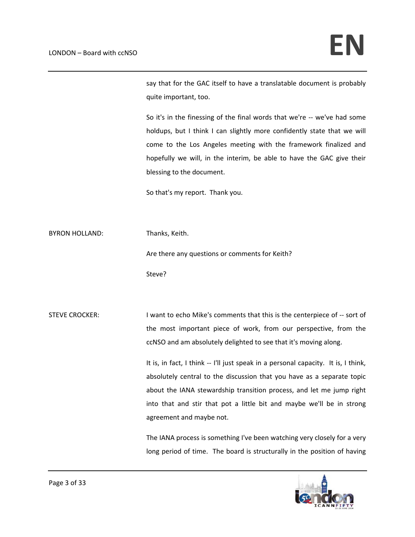say that for the GAC itself to have a translatable document is probably quite important, too.

So it's in the finessing of the final words that we're ‐‐ we've had some holdups, but I think I can slightly more confidently state that we will come to the Los Angeles meeting with the framework finalized and hopefully we will, in the interim, be able to have the GAC give their blessing to the document.

So that's my report. Thank you.

BYRON HOLLAND: Thanks, Keith.

Are there any questions or comments for Keith?

Steve?

STEVE CROCKER: I want to echo Mike's comments that this is the centerpiece of -- sort of the most important piece of work, from our perspective, from the ccNSO and am absolutely delighted to see that it's moving along.

> It is, in fact, I think -- I'll just speak in a personal capacity. It is, I think, absolutely central to the discussion that you have as a separate topic about the IANA stewardship transition process, and let me jump right into that and stir that pot a little bit and maybe we'll be in strong agreement and maybe not.

> The IANA process is something I've been watching very closely for a very long period of time. The board is structurally in the position of having

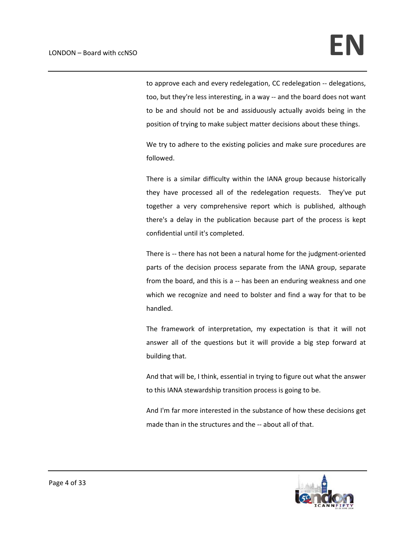to approve each and every redelegation, CC redelegation ‐‐ delegations, too, but they're less interesting, in a way ‐‐ and the board does not want to be and should not be and assiduously actually avoids being in the position of trying to make subject matter decisions about these things.

We try to adhere to the existing policies and make sure procedures are followed.

There is a similar difficulty within the IANA group because historically they have processed all of the redelegation requests. They've put together a very comprehensive report which is published, although there's a delay in the publication because part of the process is kept confidential until it's completed.

There is -- there has not been a natural home for the judgment-oriented parts of the decision process separate from the IANA group, separate from the board, and this is a -- has been an enduring weakness and one which we recognize and need to bolster and find a way for that to be handled.

The framework of interpretation, my expectation is that it will not answer all of the questions but it will provide a big step forward at building that.

And that will be, I think, essential in trying to figure out what the answer to this IANA stewardship transition process is going to be.

And I'm far more interested in the substance of how these decisions get made than in the structures and the -- about all of that.

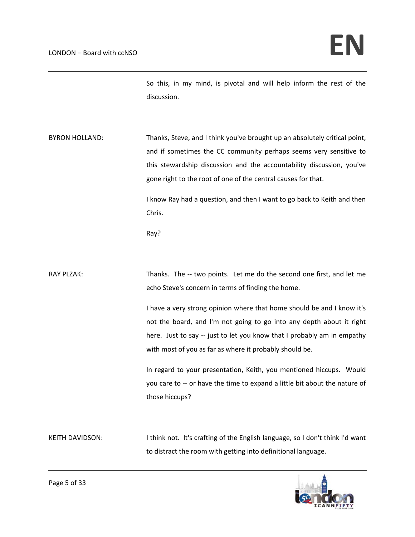So this, in my mind, is pivotal and will help inform the rest of the discussion.

BYRON HOLLAND: Thanks, Steve, and I think you've brought up an absolutely critical point, and if sometimes the CC community perhaps seems very sensitive to this stewardship discussion and the accountability discussion, you've gone right to the root of one of the central causes for that.

> I know Ray had a question, and then I want to go back to Keith and then Chris.

Ray?

RAY PLZAK: Thanks. The -- two points. Let me do the second one first, and let me echo Steve's concern in terms of finding the home.

> I have a very strong opinion where that home should be and I know it's not the board, and I'm not going to go into any depth about it right here. Just to say -- just to let you know that I probably am in empathy with most of you as far as where it probably should be.

> In regard to your presentation, Keith, you mentioned hiccups. Would you care to ‐‐ or have the time to expand a little bit about the nature of those hiccups?

KEITH DAVIDSON: I think not. It's crafting of the English language, so I don't think I'd want to distract the room with getting into definitional language.

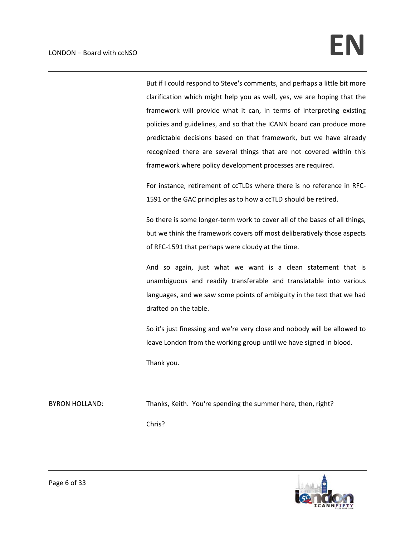But if I could respond to Steve's comments, and perhaps a little bit more clarification which might help you as well, yes, we are hoping that the framework will provide what it can, in terms of interpreting existing policies and guidelines, and so that the ICANN board can produce more predictable decisions based on that framework, but we have already recognized there are several things that are not covered within this framework where policy development processes are required.

For instance, retirement of ccTLDs where there is no reference in RFC‐ 1591 or the GAC principles as to how a ccTLD should be retired.

So there is some longer-term work to cover all of the bases of all things, but we think the framework covers off most deliberatively those aspects of RFC‐1591 that perhaps were cloudy at the time.

And so again, just what we want is a clean statement that is unambiguous and readily transferable and translatable into various languages, and we saw some points of ambiguity in the text that we had drafted on the table.

So it's just finessing and we're very close and nobody will be allowed to leave London from the working group until we have signed in blood.

Thank you.

BYRON HOLLAND: Thanks, Keith. You're spending the summer here, then, right? Chris?

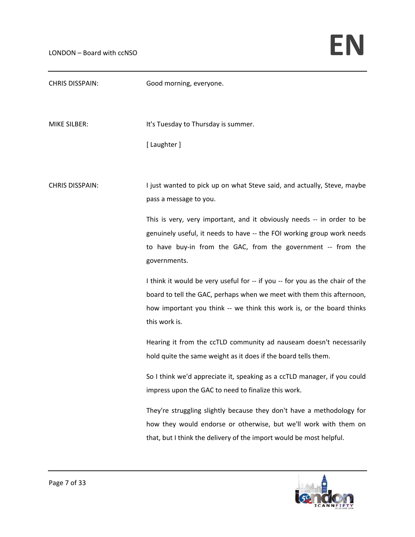| <b>CHRIS DISSPAIN:</b> | Good morning, everyone.                                                                                                                                                                                                                         |
|------------------------|-------------------------------------------------------------------------------------------------------------------------------------------------------------------------------------------------------------------------------------------------|
| <b>MIKE SILBER:</b>    | It's Tuesday to Thursday is summer.                                                                                                                                                                                                             |
|                        | [ Laughter ]                                                                                                                                                                                                                                    |
| <b>CHRIS DISSPAIN:</b> | I just wanted to pick up on what Steve said, and actually, Steve, maybe<br>pass a message to you.                                                                                                                                               |
|                        | This is very, very important, and it obviously needs -- in order to be<br>genuinely useful, it needs to have -- the FOI working group work needs<br>to have buy-in from the GAC, from the government -- from the<br>governments.                |
|                        | I think it would be very useful for -- if you -- for you as the chair of the<br>board to tell the GAC, perhaps when we meet with them this afternoon,<br>how important you think -- we think this work is, or the board thinks<br>this work is. |
|                        | Hearing it from the ccTLD community ad nauseam doesn't necessarily<br>hold quite the same weight as it does if the board tells them.                                                                                                            |
|                        | So I think we'd appreciate it, speaking as a ccTLD manager, if you could<br>impress upon the GAC to need to finalize this work.                                                                                                                 |
|                        | They're struggling slightly because they don't have a methodology for<br>how they would endorse or otherwise, but we'll work with them on<br>that, but I think the delivery of the import would be most helpful.                                |

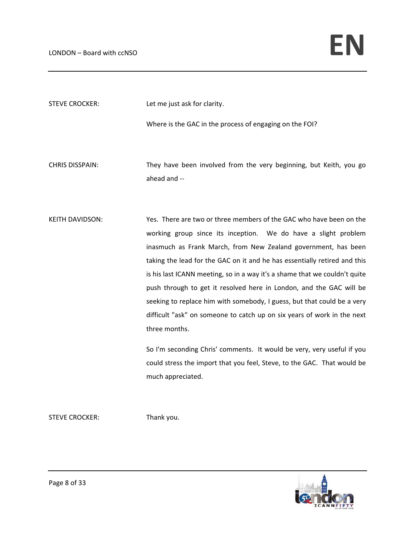STEVE CROCKER: Let me just ask for clarity.

Where is the GAC in the process of engaging on the FOI?

CHRIS DISSPAIN: They have been involved from the very beginning, but Keith, you go ahead and ‐‐

KEITH DAVIDSON: Yes. There are two or three members of the GAC who have been on the working group since its inception. We do have a slight problem inasmuch as Frank March, from New Zealand government, has been taking the lead for the GAC on it and he has essentially retired and this is his last ICANN meeting, so in a way it's a shame that we couldn't quite push through to get it resolved here in London, and the GAC will be seeking to replace him with somebody, I guess, but that could be a very difficult "ask" on someone to catch up on six years of work in the next three months.

> So I'm seconding Chris' comments. It would be very, very useful if you could stress the import that you feel, Steve, to the GAC. That would be much appreciated.

STEVE CROCKER: Thank you.

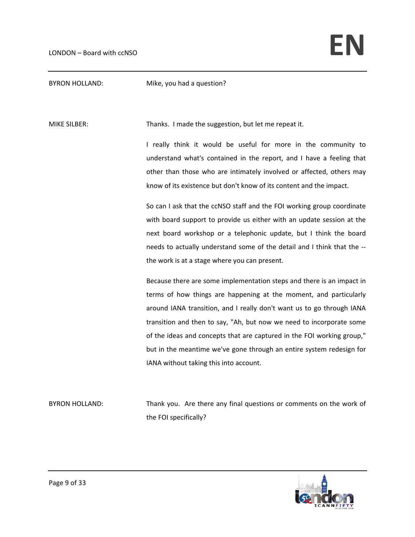BYRON HOLLAND: Mike, you had a question?

MIKE SILBER: Thanks. I made the suggestion, but let me repeat it.

I really think it would be useful for more in the community to understand what's contained in the report, and I have a feeling that other than those who are intimately involved or affected, others may know of its existence but don't know of its content and the impact.

So can I ask that the ccNSO staff and the FOI working group coordinate with board support to provide us either with an update session at the next board workshop or a telephonic update, but I think the board needs to actually understand some of the detail and I think that the ‐‐ the work is at a stage where you can present.

Because there are some implementation steps and there is an impact in terms of how things are happening at the moment, and particularly around IANA transition, and I really don't want us to go through IANA transition and then to say, "Ah, but now we need to incorporate some of the ideas and concepts that are captured in the FOI working group," but in the meantime we've gone through an entire system redesign for IANA without taking this into account.

BYRON HOLLAND: Thank you. Are there any final questions or comments on the work of the FOI specifically?

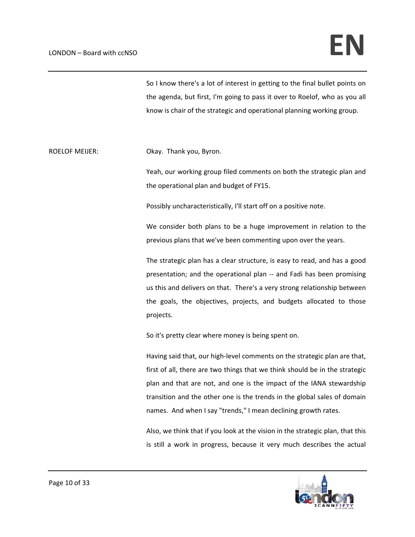So I know there's a lot of interest in getting to the final bullet points on the agenda, but first, I'm going to pass it over to Roelof, who as you all know is chair of the strategic and operational planning working group.

ROELOF MEIJER: Colay. Thank you, Byron.

Yeah, our working group filed comments on both the strategic plan and the operational plan and budget of FY15.

Possibly uncharacteristically, I'll start off on a positive note.

We consider both plans to be a huge improvement in relation to the previous plans that we've been commenting upon over the years.

The strategic plan has a clear structure, is easy to read, and has a good presentation; and the operational plan -- and Fadi has been promising us this and delivers on that. There's a very strong relationship between the goals, the objectives, projects, and budgets allocated to those projects.

So it's pretty clear where money is being spent on.

Having said that, our high‐level comments on the strategic plan are that, first of all, there are two things that we think should be in the strategic plan and that are not, and one is the impact of the IANA stewardship transition and the other one is the trends in the global sales of domain names. And when I say "trends," I mean declining growth rates.

Also, we think that if you look at the vision in the strategic plan, that this is still a work in progress, because it very much describes the actual

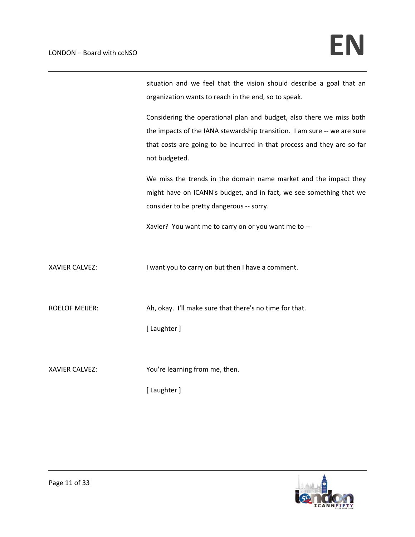situation and we feel that the vision should describe a goal that an organization wants to reach in the end, so to speak.

Considering the operational plan and budget, also there we miss both the impacts of the IANA stewardship transition. I am sure ‐‐ we are sure that costs are going to be incurred in that process and they are so far not budgeted.

We miss the trends in the domain name market and the impact they might have on ICANN's budget, and in fact, we see something that we consider to be pretty dangerous ‐‐ sorry.

Xavier? You want me to carry on or you want me to ‐‐

XAVIER CALVEZ: I want you to carry on but then I have a comment.

ROELOF MEIJER: Metally Ah, okay. I'll make sure that there's no time for that.

[ Laughter ]

XAVIER CALVEZ: You're learning from me, then.

[ Laughter ]

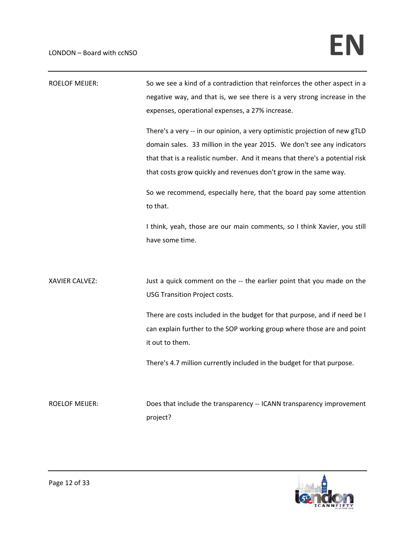| <b>ROELOF MEIJER:</b> | So we see a kind of a contradiction that reinforces the other aspect in a<br>negative way, and that is, we see there is a very strong increase in the<br>expenses, operational expenses, a 27% increase.<br>There's a very -- in our opinion, a very optimistic projection of new gTLD<br>domain sales. 33 million in the year 2015. We don't see any indicators<br>that that is a realistic number. And it means that there's a potential risk<br>that costs grow quickly and revenues don't grow in the same way. |
|-----------------------|---------------------------------------------------------------------------------------------------------------------------------------------------------------------------------------------------------------------------------------------------------------------------------------------------------------------------------------------------------------------------------------------------------------------------------------------------------------------------------------------------------------------|
|                       | So we recommend, especially here, that the board pay some attention<br>to that.<br>I think, yeah, those are our main comments, so I think Xavier, you still<br>have some time.                                                                                                                                                                                                                                                                                                                                      |
| XAVIER CALVEZ:        | Just a quick comment on the -- the earlier point that you made on the<br><b>USG Transition Project costs.</b><br>There are costs included in the budget for that purpose, and if need be I<br>can explain further to the SOP working group where those are and point<br>it out to them.                                                                                                                                                                                                                             |
|                       | There's 4.7 million currently included in the budget for that purpose.                                                                                                                                                                                                                                                                                                                                                                                                                                              |
| <b>ROELOF MEIJER:</b> | Does that include the transparency -- ICANN transparency improvement<br>project?                                                                                                                                                                                                                                                                                                                                                                                                                                    |

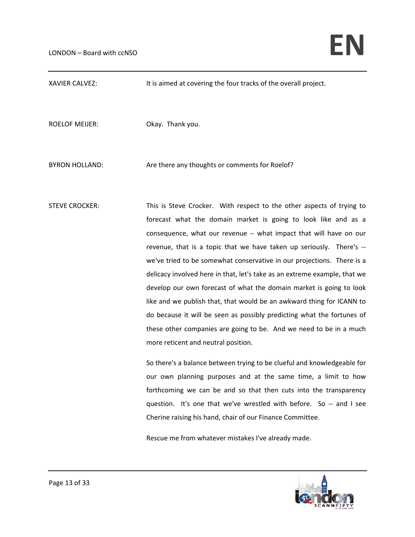XAVIER CALVEZ: It is aimed at covering the four tracks of the overall project.

ROELOF MEIJER: Okay. Thank you.

BYRON HOLLAND: **Are there any thoughts or comments for Roelof?** 

STEVE CROCKER: This is Steve Crocker. With respect to the other aspects of trying to forecast what the domain market is going to look like and as a consequence, what our revenue -- what impact that will have on our revenue, that is a topic that we have taken up seriously. There's -we've tried to be somewhat conservative in our projections. There is a delicacy involved here in that, let's take as an extreme example, that we develop our own forecast of what the domain market is going to look like and we publish that, that would be an awkward thing for ICANN to do because it will be seen as possibly predicting what the fortunes of these other companies are going to be. And we need to be in a much more reticent and neutral position.

> So there's a balance between trying to be clueful and knowledgeable for our own planning purposes and at the same time, a limit to how forthcoming we can be and so that then cuts into the transparency question. It's one that we've wrestled with before. So -- and I see Cherine raising his hand, chair of our Finance Committee.

Rescue me from whatever mistakes I've already made.

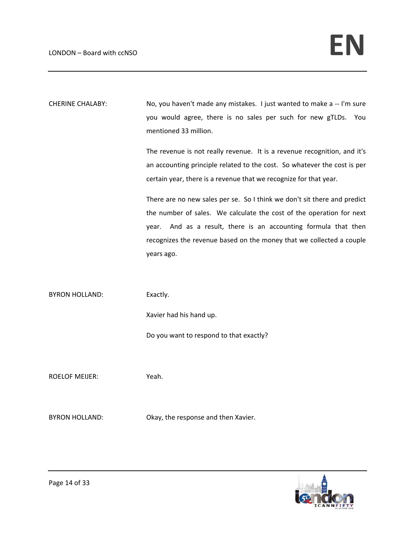CHERINE CHALABY: No, you haven't made any mistakes. I just wanted to make a -- I'm sure you would agree, there is no sales per such for new gTLDs. You mentioned 33 million.

> The revenue is not really revenue. It is a revenue recognition, and it's an accounting principle related to the cost. So whatever the cost is per certain year, there is a revenue that we recognize for that year.

> There are no new sales per se. So I think we don't sit there and predict the number of sales. We calculate the cost of the operation for next year. And as a result, there is an accounting formula that then recognizes the revenue based on the money that we collected a couple years ago.

BYRON HOLLAND: Exactly. Xavier had his hand up.

ROELOF MEIJER: Yeah.

BYRON HOLLAND: Colay, the response and then Xavier.

Do you want to respond to that exactly?

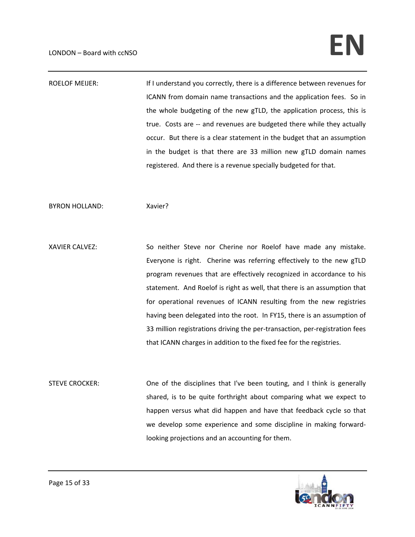ROELOF MEIJER: If I understand you correctly, there is a difference between revenues for ICANN from domain name transactions and the application fees. So in the whole budgeting of the new gTLD, the application process, this is true. Costs are ‐‐ and revenues are budgeted there while they actually occur. But there is a clear statement in the budget that an assumption in the budget is that there are 33 million new gTLD domain names registered. And there is a revenue specially budgeted for that.

BYRON HOLLAND: Xavier?

XAVIER CALVEZ: So neither Steve nor Cherine nor Roelof have made any mistake. Everyone is right. Cherine was referring effectively to the new gTLD program revenues that are effectively recognized in accordance to his statement. And Roelof is right as well, that there is an assumption that for operational revenues of ICANN resulting from the new registries having been delegated into the root. In FY15, there is an assumption of 33 million registrations driving the per-transaction, per-registration fees that ICANN charges in addition to the fixed fee for the registries.

STEVE CROCKER: One of the disciplines that I've been touting, and I think is generally shared, is to be quite forthright about comparing what we expect to happen versus what did happen and have that feedback cycle so that we develop some experience and some discipline in making forward‐ looking projections and an accounting for them.

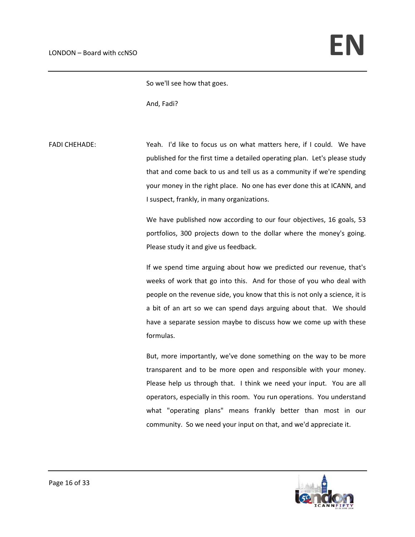So we'll see how that goes.

And, Fadi?

FADI CHEHADE: **Shareh** Yeah. I'd like to focus us on what matters here, if I could. We have published for the first time a detailed operating plan. Let's please study that and come back to us and tell us as a community if we're spending your money in the right place. No one has ever done this at ICANN, and I suspect, frankly, in many organizations.

> We have published now according to our four objectives, 16 goals, 53 portfolios, 300 projects down to the dollar where the money's going. Please study it and give us feedback.

> If we spend time arguing about how we predicted our revenue, that's weeks of work that go into this. And for those of you who deal with people on the revenue side, you know that this is not only a science, it is a bit of an art so we can spend days arguing about that. We should have a separate session maybe to discuss how we come up with these formulas.

> But, more importantly, we've done something on the way to be more transparent and to be more open and responsible with your money. Please help us through that. I think we need your input. You are all operators, especially in this room. You run operations. You understand what "operating plans" means frankly better than most in our community. So we need your input on that, and we'd appreciate it.

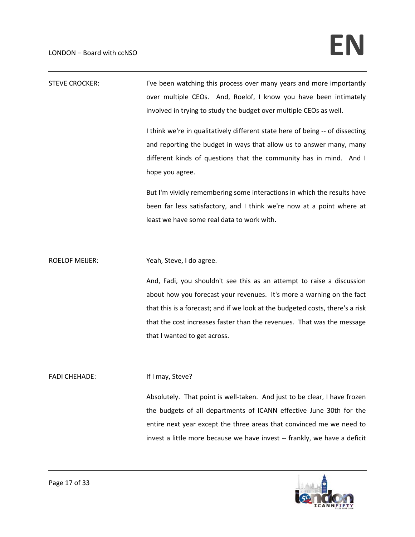| <b>STEVE CROCKER:</b> | I've been watching this process over many years and more importantly<br>over multiple CEOs. And, Roelof, I know you have been intimately<br>involved in trying to study the budget over multiple CEOs as well.<br>I think we're in qualitatively different state here of being -- of dissecting<br>and reporting the budget in ways that allow us to answer many, many<br>different kinds of questions that the community has in mind. And I |
|-----------------------|----------------------------------------------------------------------------------------------------------------------------------------------------------------------------------------------------------------------------------------------------------------------------------------------------------------------------------------------------------------------------------------------------------------------------------------------|
|                       | hope you agree.<br>But I'm vividly remembering some interactions in which the results have<br>been far less satisfactory, and I think we're now at a point where at<br>least we have some real data to work with.                                                                                                                                                                                                                            |
| <b>ROELOF MEIJER:</b> | Yeah, Steve, I do agree.<br>And, Fadi, you shouldn't see this as an attempt to raise a discussion<br>about how you forecast your revenues. It's more a warning on the fact<br>that this is a forecast; and if we look at the budgeted costs, there's a risk<br>that the cost increases faster than the revenues. That was the message<br>that I wanted to get across.                                                                        |
| <b>FADI CHEHADE:</b>  | If I may, Steve?<br>Absolutely. That point is well-taken. And just to be clear, I have frozen<br>the budgets of all departments of ICANN effective June 30th for the                                                                                                                                                                                                                                                                         |



entire next year except the three areas that convinced me we need to invest a little more because we have invest -- frankly, we have a deficit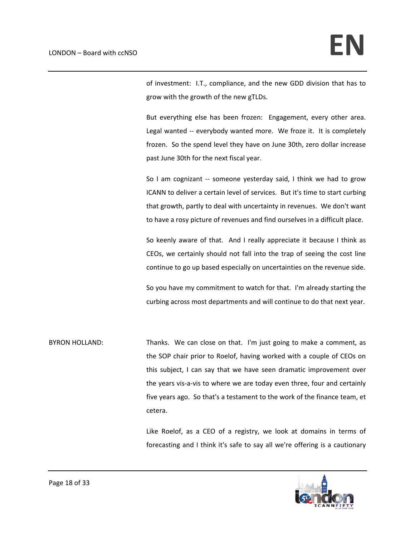of investment: I.T., compliance, and the new GDD division that has to grow with the growth of the new gTLDs.

But everything else has been frozen: Engagement, every other area. Legal wanted -- everybody wanted more. We froze it. It is completely frozen. So the spend level they have on June 30th, zero dollar increase past June 30th for the next fiscal year.

So I am cognizant -- someone yesterday said, I think we had to grow ICANN to deliver a certain level of services. But it's time to start curbing that growth, partly to deal with uncertainty in revenues. We don't want to have a rosy picture of revenues and find ourselves in a difficult place.

So keenly aware of that. And I really appreciate it because I think as CEOs, we certainly should not fall into the trap of seeing the cost line continue to go up based especially on uncertainties on the revenue side.

So you have my commitment to watch for that. I'm already starting the curbing across most departments and will continue to do that next year.

BYRON HOLLAND: Thanks. We can close on that. I'm just going to make a comment, as the SOP chair prior to Roelof, having worked with a couple of CEOs on this subject, I can say that we have seen dramatic improvement over the years vis‐a‐vis to where we are today even three, four and certainly five years ago. So that's a testament to the work of the finance team, et cetera.

> Like Roelof, as a CEO of a registry, we look at domains in terms of forecasting and I think it's safe to say all we're offering is a cautionary

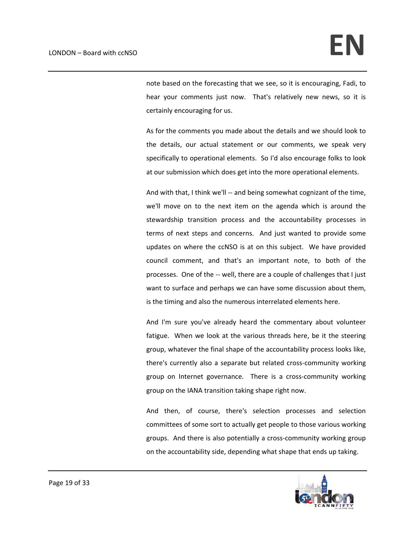note based on the forecasting that we see, so it is encouraging, Fadi, to hear your comments just now. That's relatively new news, so it is certainly encouraging for us.

As for the comments you made about the details and we should look to the details, our actual statement or our comments, we speak very specifically to operational elements. So I'd also encourage folks to look at our submission which does get into the more operational elements.

And with that, I think we'll -- and being somewhat cognizant of the time, we'll move on to the next item on the agenda which is around the stewardship transition process and the accountability processes in terms of next steps and concerns. And just wanted to provide some updates on where the ccNSO is at on this subject. We have provided council comment, and that's an important note, to both of the processes. One of the -- well, there are a couple of challenges that I just want to surface and perhaps we can have some discussion about them, is the timing and also the numerous interrelated elements here.

And I'm sure you've already heard the commentary about volunteer fatigue. When we look at the various threads here, be it the steering group, whatever the final shape of the accountability process looks like, there's currently also a separate but related cross‐community working group on Internet governance. There is a cross‐community working group on the IANA transition taking shape right now.

And then, of course, there's selection processes and selection committees of some sort to actually get people to those various working groups. And there is also potentially a cross‐community working group on the accountability side, depending what shape that ends up taking.

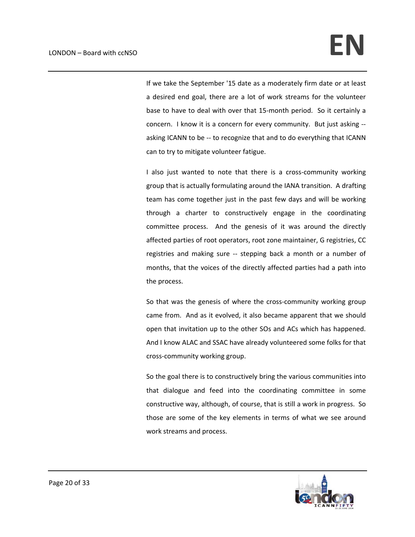If we take the September '15 date as a moderately firm date or at least a desired end goal, there are a lot of work streams for the volunteer base to have to deal with over that 15‐month period. So it certainly a concern. I know it is a concern for every community. But just asking ‐‐ asking ICANN to be -- to recognize that and to do everything that ICANN can to try to mitigate volunteer fatigue.

I also just wanted to note that there is a cross‐community working group that is actually formulating around the IANA transition. A drafting team has come together just in the past few days and will be working through a charter to constructively engage in the coordinating committee process. And the genesis of it was around the directly affected parties of root operators, root zone maintainer, G registries, CC registries and making sure -- stepping back a month or a number of months, that the voices of the directly affected parties had a path into the process.

So that was the genesis of where the cross-community working group came from. And as it evolved, it also became apparent that we should open that invitation up to the other SOs and ACs which has happened. And I know ALAC and SSAC have already volunteered some folks for that cross‐community working group.

So the goal there is to constructively bring the various communities into that dialogue and feed into the coordinating committee in some constructive way, although, of course, that is still a work in progress. So those are some of the key elements in terms of what we see around work streams and process.

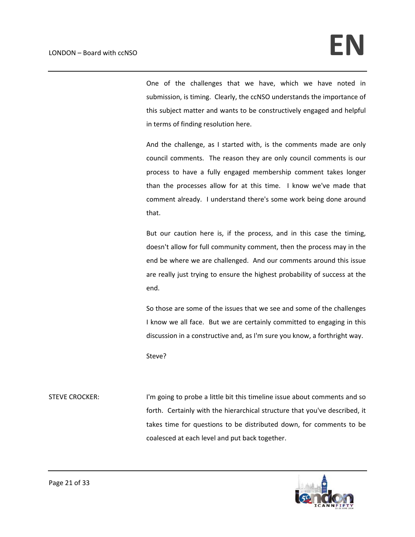One of the challenges that we have, which we have noted in submission, is timing. Clearly, the ccNSO understands the importance of this subject matter and wants to be constructively engaged and helpful in terms of finding resolution here.

And the challenge, as I started with, is the comments made are only council comments. The reason they are only council comments is our process to have a fully engaged membership comment takes longer than the processes allow for at this time. I know we've made that comment already. I understand there's some work being done around that.

But our caution here is, if the process, and in this case the timing, doesn't allow for full community comment, then the process may in the end be where we are challenged. And our comments around this issue are really just trying to ensure the highest probability of success at the end.

So those are some of the issues that we see and some of the challenges I know we all face. But we are certainly committed to engaging in this discussion in a constructive and, as I'm sure you know, a forthright way.

Steve?

STEVE CROCKER: I'm going to probe a little bit this timeline issue about comments and so forth. Certainly with the hierarchical structure that you've described, it takes time for questions to be distributed down, for comments to be coalesced at each level and put back together.

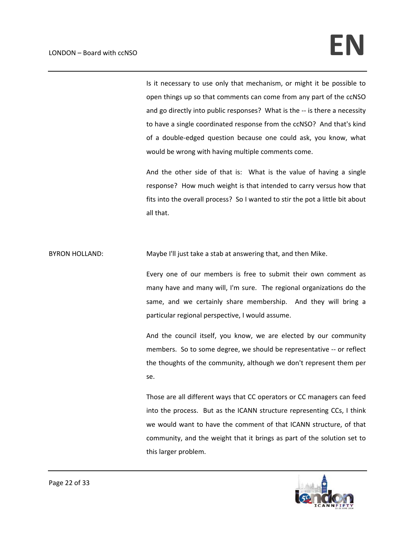Is it necessary to use only that mechanism, or might it be possible to open things up so that comments can come from any part of the ccNSO and go directly into public responses? What is the -- is there a necessity to have a single coordinated response from the ccNSO? And that's kind of a double‐edged question because one could ask, you know, what would be wrong with having multiple comments come.

And the other side of that is: What is the value of having a single response? How much weight is that intended to carry versus how that fits into the overall process? So I wanted to stir the pot a little bit about all that.

BYRON HOLLAND: Maybe I'll just take a stab at answering that, and then Mike.

Every one of our members is free to submit their own comment as many have and many will, I'm sure. The regional organizations do the same, and we certainly share membership. And they will bring a particular regional perspective, I would assume.

And the council itself, you know, we are elected by our community members. So to some degree, we should be representative ‐‐ or reflect the thoughts of the community, although we don't represent them per se.

Those are all different ways that CC operators or CC managers can feed into the process. But as the ICANN structure representing CCs, I think we would want to have the comment of that ICANN structure, of that community, and the weight that it brings as part of the solution set to this larger problem.

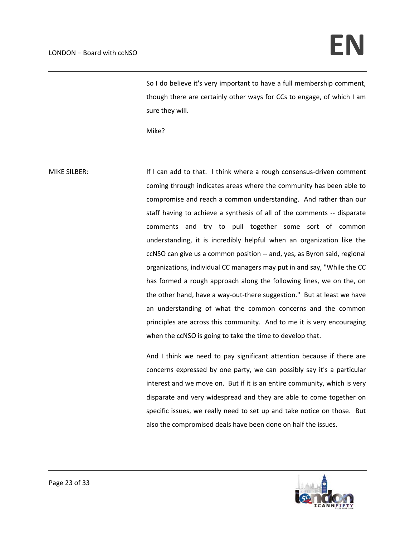So I do believe it's very important to have a full membership comment, though there are certainly other ways for CCs to engage, of which I am sure they will.

Mike?

MIKE SILBER: **If I can add to that.** I think where a rough consensus-driven comment coming through indicates areas where the community has been able to compromise and reach a common understanding. And rather than our staff having to achieve a synthesis of all of the comments ‐‐ disparate comments and try to pull together some sort of common understanding, it is incredibly helpful when an organization like the ccNSO can give us a common position ‐‐ and, yes, as Byron said, regional organizations, individual CC managers may put in and say, "While the CC has formed a rough approach along the following lines, we on the, on the other hand, have a way‐out‐there suggestion." But at least we have an understanding of what the common concerns and the common principles are across this community. And to me it is very encouraging when the ccNSO is going to take the time to develop that.

> And I think we need to pay significant attention because if there are concerns expressed by one party, we can possibly say it's a particular interest and we move on. But if it is an entire community, which is very disparate and very widespread and they are able to come together on specific issues, we really need to set up and take notice on those. But also the compromised deals have been done on half the issues.

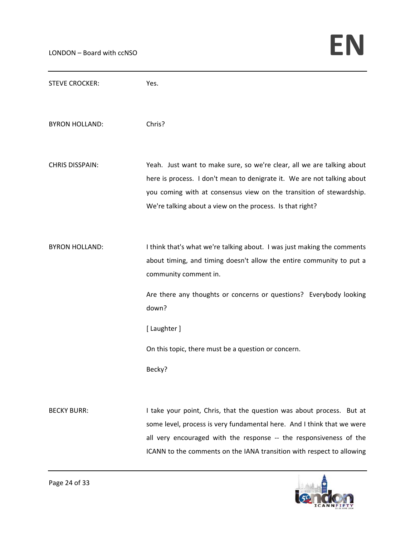| <b>STEVE CROCKER:</b>  | Yes.                                                                                                                                                                                                                                                                                                                                     |
|------------------------|------------------------------------------------------------------------------------------------------------------------------------------------------------------------------------------------------------------------------------------------------------------------------------------------------------------------------------------|
| <b>BYRON HOLLAND:</b>  | Chris?                                                                                                                                                                                                                                                                                                                                   |
| <b>CHRIS DISSPAIN:</b> | Yeah. Just want to make sure, so we're clear, all we are talking about<br>here is process. I don't mean to denigrate it. We are not talking about<br>you coming with at consensus view on the transition of stewardship.<br>We're talking about a view on the process. Is that right?                                                    |
| <b>BYRON HOLLAND:</b>  | I think that's what we're talking about. I was just making the comments<br>about timing, and timing doesn't allow the entire community to put a<br>community comment in.<br>Are there any thoughts or concerns or questions? Everybody looking<br>down?<br>[ Laughter ]<br>On this topic, there must be a question or concern.<br>Becky? |
| <b>BECKY BURR:</b>     | I take your point, Chris, that the question was about process. But at<br>some level, process is very fundamental here. And I think that we were<br>all very encouraged with the response -- the responsiveness of the<br>ICANN to the comments on the IANA transition with respect to allowing                                           |

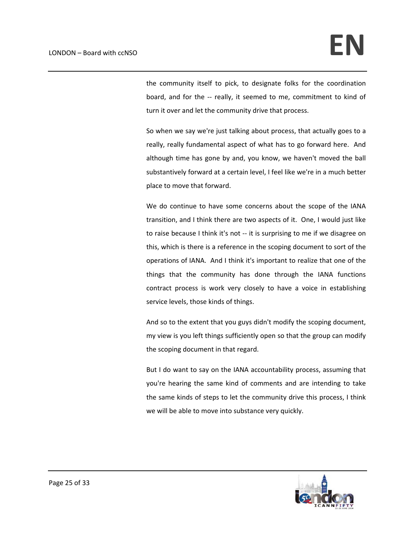the community itself to pick, to designate folks for the coordination board, and for the -- really, it seemed to me, commitment to kind of turn it over and let the community drive that process.

So when we say we're just talking about process, that actually goes to a really, really fundamental aspect of what has to go forward here. And although time has gone by and, you know, we haven't moved the ball substantively forward at a certain level, I feel like we're in a much better place to move that forward.

We do continue to have some concerns about the scope of the IANA transition, and I think there are two aspects of it. One, I would just like to raise because I think it's not ‐‐ it is surprising to me if we disagree on this, which is there is a reference in the scoping document to sort of the operations of IANA. And I think it's important to realize that one of the things that the community has done through the IANA functions contract process is work very closely to have a voice in establishing service levels, those kinds of things.

And so to the extent that you guys didn't modify the scoping document, my view is you left things sufficiently open so that the group can modify the scoping document in that regard.

But I do want to say on the IANA accountability process, assuming that you're hearing the same kind of comments and are intending to take the same kinds of steps to let the community drive this process, I think we will be able to move into substance very quickly.

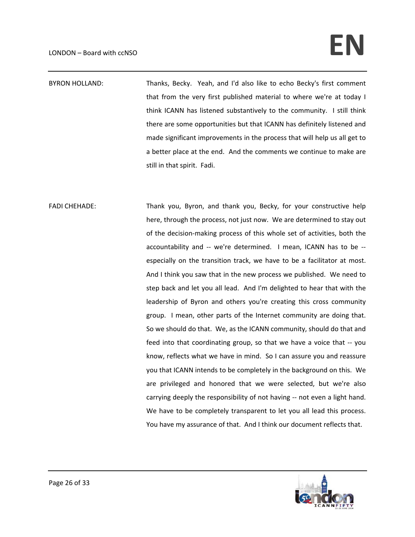## $LONDON-Pboard with ccNSO$

BYRON HOLLAND: Thanks, Becky. Yeah, and I'd also like to echo Becky's first comment that from the very first published material to where we're at today I think ICANN has listened substantively to the community. I still think there are some opportunities but that ICANN has definitely listened and made significant improvements in the process that will help us all get to a better place at the end. And the comments we continue to make are still in that spirit. Fadi.

FADI CHEHADE: Thank you, Byron, and thank you, Becky, for your constructive help here, through the process, not just now. We are determined to stay out of the decision‐making process of this whole set of activities, both the accountability and -- we're determined. I mean, ICANN has to be -especially on the transition track, we have to be a facilitator at most. And I think you saw that in the new process we published. We need to step back and let you all lead. And I'm delighted to hear that with the leadership of Byron and others you're creating this cross community group. I mean, other parts of the Internet community are doing that. So we should do that. We, as the ICANN community, should do that and feed into that coordinating group, so that we have a voice that ‐‐ you know, reflects what we have in mind. So I can assure you and reassure you that ICANN intends to be completely in the background on this. We are privileged and honored that we were selected, but we're also carrying deeply the responsibility of not having ‐‐ not even a light hand. We have to be completely transparent to let you all lead this process. You have my assurance of that. And I think our document reflects that.

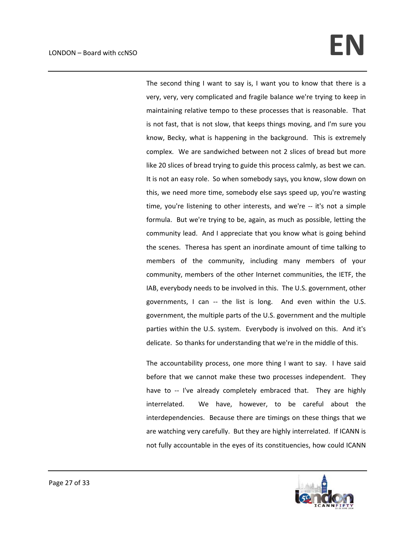## $LONDON-Pboard with ccNSO$

The second thing I want to say is, I want you to know that there is a very, very, very complicated and fragile balance we're trying to keep in maintaining relative tempo to these processes that is reasonable. That is not fast, that is not slow, that keeps things moving, and I'm sure you know, Becky, what is happening in the background. This is extremely complex. We are sandwiched between not 2 slices of bread but more like 20 slices of bread trying to guide this process calmly, as best we can. It is not an easy role. So when somebody says, you know, slow down on this, we need more time, somebody else says speed up, you're wasting time, you're listening to other interests, and we're ‐‐ it's not a simple formula. But we're trying to be, again, as much as possible, letting the community lead. And I appreciate that you know what is going behind the scenes. Theresa has spent an inordinate amount of time talking to members of the community, including many members of your community, members of the other Internet communities, the IETF, the IAB, everybody needs to be involved in this. The U.S. government, other governments, I can -- the list is long. And even within the U.S. government, the multiple parts of the U.S. government and the multiple parties within the U.S. system. Everybody is involved on this. And it's delicate. So thanks for understanding that we're in the middle of this.

The accountability process, one more thing I want to say. I have said before that we cannot make these two processes independent. They have to -- I've already completely embraced that. They are highly interrelated. We have, however, to be careful about the interdependencies. Because there are timings on these things that we are watching very carefully. But they are highly interrelated. If ICANN is not fully accountable in the eyes of its constituencies, how could ICANN

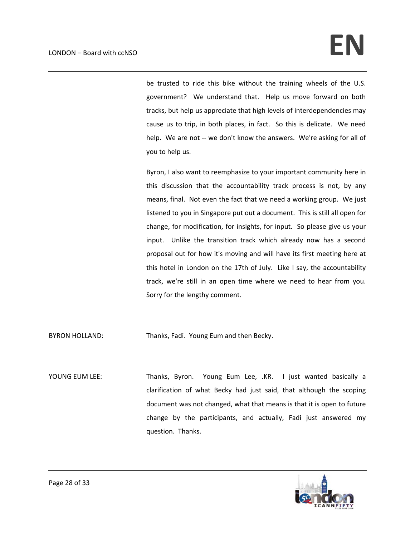be trusted to ride this bike without the training wheels of the U.S. government? We understand that. Help us move forward on both tracks, but help us appreciate that high levels of interdependencies may cause us to trip, in both places, in fact. So this is delicate. We need help. We are not -- we don't know the answers. We're asking for all of you to help us.

Byron, I also want to reemphasize to your important community here in this discussion that the accountability track process is not, by any means, final. Not even the fact that we need a working group. We just listened to you in Singapore put out a document. This is still all open for change, for modification, for insights, for input. So please give us your input. Unlike the transition track which already now has a second proposal out for how it's moving and will have its first meeting here at this hotel in London on the 17th of July. Like I say, the accountability track, we're still in an open time where we need to hear from you. Sorry for the lengthy comment.

BYRON HOLLAND: Thanks, Fadi. Young Eum and then Becky.

YOUNG EUM LEE: Thanks, Byron. Young Eum Lee, .KR. I just wanted basically a clarification of what Becky had just said, that although the scoping document was not changed, what that means is that it is open to future change by the participants, and actually, Fadi just answered my question. Thanks.

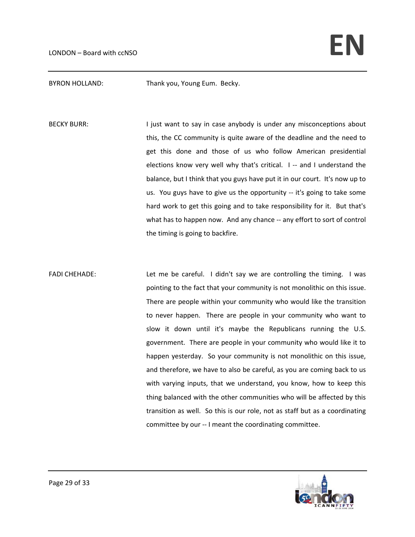BYRON HOLLAND: Thank you, Young Eum. Becky.

BECKY BURR: I just want to say in case anybody is under any misconceptions about this, the CC community is quite aware of the deadline and the need to get this done and those of us who follow American presidential elections know very well why that's critical. I -- and I understand the balance, but I think that you guys have put it in our court. It's now up to us. You guys have to give us the opportunity ‐‐ it's going to take some hard work to get this going and to take responsibility for it. But that's what has to happen now. And any chance -- any effort to sort of control the timing is going to backfire.

FADI CHEHADE: Let me be careful. I didn't say we are controlling the timing. I was pointing to the fact that your community is not monolithic on this issue. There are people within your community who would like the transition to never happen. There are people in your community who want to slow it down until it's maybe the Republicans running the U.S. government. There are people in your community who would like it to happen yesterday. So your community is not monolithic on this issue, and therefore, we have to also be careful, as you are coming back to us with varying inputs, that we understand, you know, how to keep this thing balanced with the other communities who will be affected by this transition as well. So this is our role, not as staff but as a coordinating committee by our ‐‐ I meant the coordinating committee.

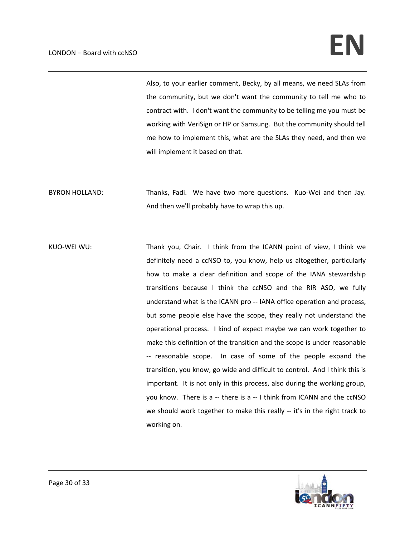Also, to your earlier comment, Becky, by all means, we need SLAs from the community, but we don't want the community to tell me who to contract with. I don't want the community to be telling me you must be working with VeriSign or HP or Samsung. But the community should tell me how to implement this, what are the SLAs they need, and then we will implement it based on that.

BYRON HOLLAND: Thanks, Fadi. We have two more questions. Kuo-Wei and then Jay. And then we'll probably have to wrap this up.

KUO-WEI WU: Thank you, Chair. I think from the ICANN point of view, I think we definitely need a ccNSO to, you know, help us altogether, particularly how to make a clear definition and scope of the IANA stewardship transitions because I think the ccNSO and the RIR ASO, we fully understand what is the ICANN pro ‐‐ IANA office operation and process, but some people else have the scope, they really not understand the operational process. I kind of expect maybe we can work together to make this definition of the transition and the scope is under reasonable ‐‐ reasonable scope. In case of some of the people expand the transition, you know, go wide and difficult to control. And I think this is important. It is not only in this process, also during the working group, you know. There is a ‐‐ there is a ‐‐ I think from ICANN and the ccNSO we should work together to make this really -- it's in the right track to working on.

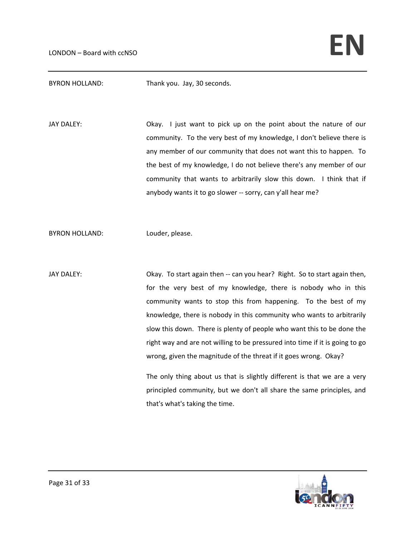BYRON HOLLAND: Thank you. Jay, 30 seconds.

JAY DALEY:  **CRACK UP ON A SET UP A CONCLUTE UP A SET UP A CONCLUTE A SET UP A CONCLUTE 1** OUCLUTE OUR SAFET OUR community. To the very best of my knowledge, I don't believe there is any member of our community that does not want this to happen. To the best of my knowledge, I do not believe there's any member of our community that wants to arbitrarily slow this down. I think that if anybody wants it to go slower -- sorry, can y'all hear me?

BYRON HOLLAND: Louder, please.

JAY DALEY:  **CRAY** Okay. To start again then -- can you hear? Right. So to start again then, for the very best of my knowledge, there is nobody who in this community wants to stop this from happening. To the best of my knowledge, there is nobody in this community who wants to arbitrarily slow this down. There is plenty of people who want this to be done the right way and are not willing to be pressured into time if it is going to go wrong, given the magnitude of the threat if it goes wrong. Okay? The only thing about us that is slightly different is that we are a very

principled community, but we don't all share the same principles, and that's what's taking the time.

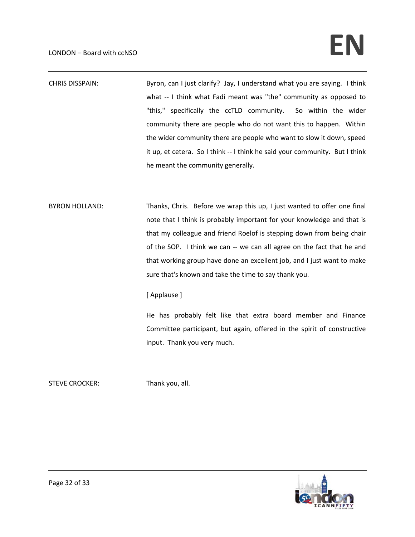CHRIS DISSPAIN: Byron, can I just clarify? Jay, I understand what you are saying. I think what -- I think what Fadi meant was "the" community as opposed to "this," specifically the ccTLD community. So within the wider community there are people who do not want this to happen. Within the wider community there are people who want to slow it down, speed it up, et cetera. So I think -- I think he said your community. But I think he meant the community generally.

BYRON HOLLAND: Thanks, Chris. Before we wrap this up, I just wanted to offer one final note that I think is probably important for your knowledge and that is that my colleague and friend Roelof is stepping down from being chair of the SOP. I think we can -- we can all agree on the fact that he and that working group have done an excellent job, and I just want to make sure that's known and take the time to say thank you.

## [ Applause ]

He has probably felt like that extra board member and Finance Committee participant, but again, offered in the spirit of constructive input. Thank you very much.

STEVE CROCKER: Thank you, all.